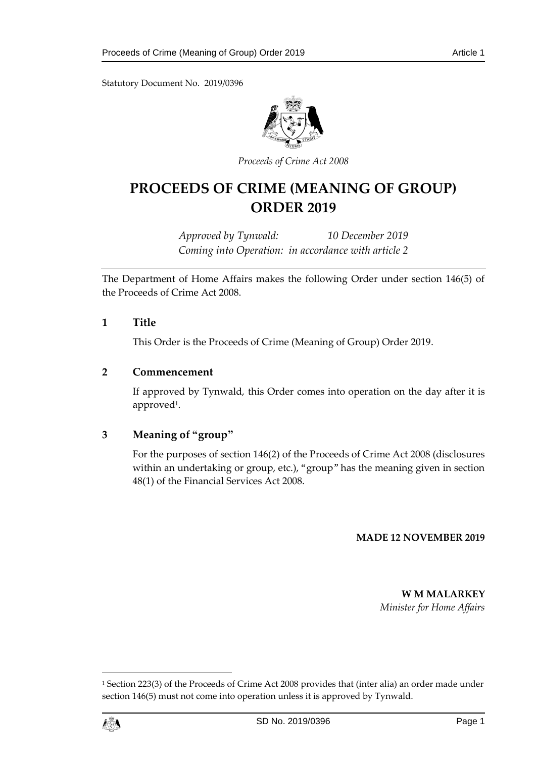

*Proceeds of Crime Act 2008*

# **PROCEEDS OF CRIME (MEANING OF GROUP) ORDER 2019**

*Approved by Tynwald: 10 December 2019 Coming into Operation: in accordance with article 2*

The Department of Home Affairs makes the following Order under section 146(5) of the Proceeds of Crime Act 2008.

#### **1 Title**

This Order is the Proceeds of Crime (Meaning of Group) Order 2019.

#### **2 Commencement**

If approved by Tynwald, this Order comes into operation on the day after it is approved<sup>1</sup> .

### **3 Meaning of "group"**

For the purposes of section 146(2) of the Proceeds of Crime Act 2008 (disclosures within an undertaking or group, etc.), "group" has the meaning given in section 48(1) of the Financial Services Act 2008.

#### **MADE 12 NOVEMBER 2019**

**W M MALARKEY** *Minister for Home Affairs*

<sup>1</sup> Section 223(3) of the Proceeds of Crime Act 2008 provides that (inter alia) an order made under section 146(5) must not come into operation unless it is approved by Tynwald.



 $\overline{a}$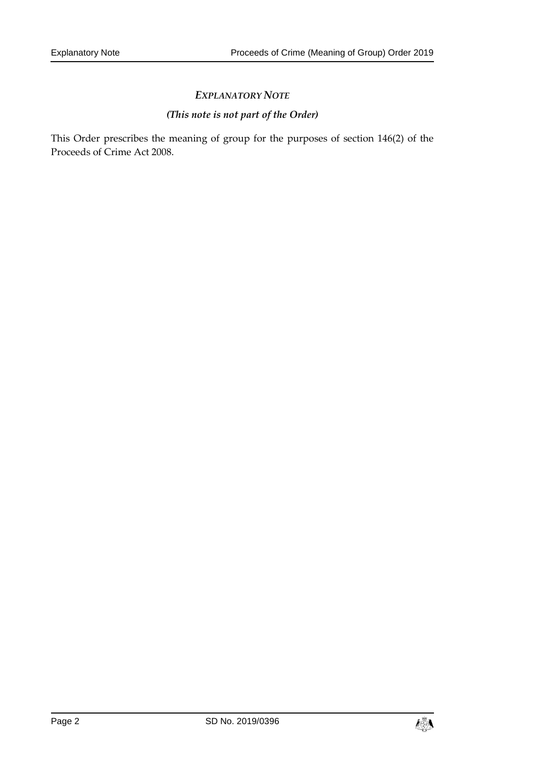# *(This note is not part of the Order)*

This Order prescribes the meaning of group for the purposes of section 146(2) of the Proceeds of Crime Act 2008.

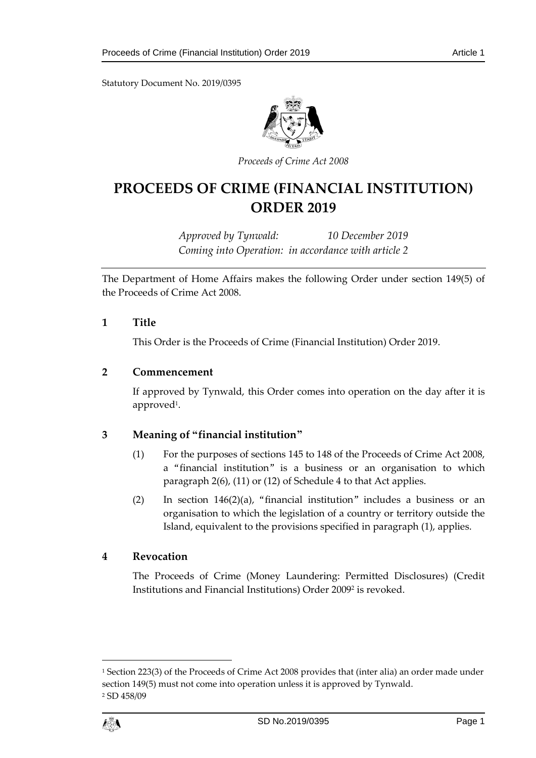

*Proceeds of Crime Act 2008*

# **PROCEEDS OF CRIME (FINANCIAL INSTITUTION) ORDER 2019**

*Approved by Tynwald: 10 December 2019 Coming into Operation: in accordance with article 2*

The Department of Home Affairs makes the following Order under section 149(5) of the Proceeds of Crime Act 2008.

#### **1 Title**

This Order is the Proceeds of Crime (Financial Institution) Order 2019.

#### **2 Commencement**

If approved by Tynwald, this Order comes into operation on the day after it is approved<sup>1</sup> .

### **3 Meaning of "financial institution"**

- (1) For the purposes of sections 145 to 148 of the Proceeds of Crime Act 2008, a "financial institution" is a business or an organisation to which paragraph 2(6), (11) or (12) of Schedule 4 to that Act applies.
- (2) In section 146(2)(a), "financial institution" includes a business or an organisation to which the legislation of a country or territory outside the Island, equivalent to the provisions specified in paragraph (1), applies.

#### **4 Revocation**

The Proceeds of Crime (Money Laundering: Permitted Disclosures) (Credit Institutions and Financial Institutions) Order 2009<sup>2</sup> is revoked.

<sup>1</sup> Section 223(3) of the Proceeds of Crime Act 2008 provides that (inter alia) an order made under section 149(5) must not come into operation unless it is approved by Tynwald. <sup>2</sup> SD 458/09



1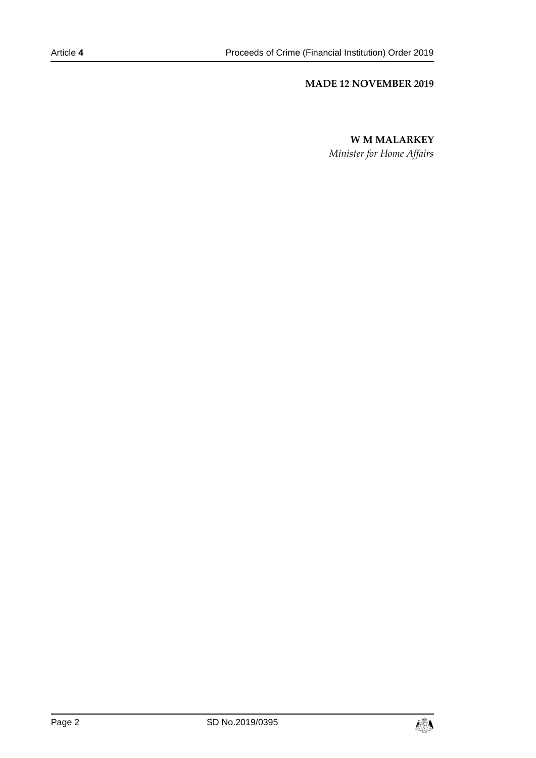#### **MADE 12 NOVEMBER 2019**

#### **W M MALARKEY**

*Minister for Home Affairs*

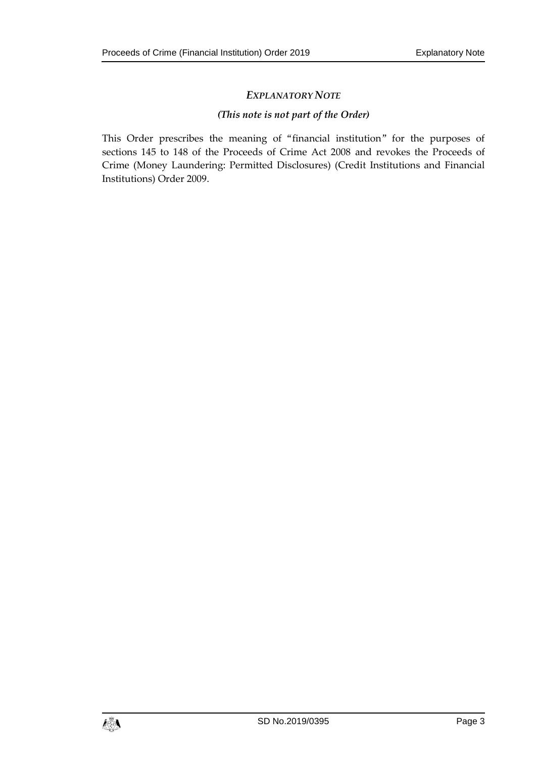#### *(This note is not part of the Order)*

This Order prescribes the meaning of "financial institution" for the purposes of sections 145 to 148 of the Proceeds of Crime Act 2008 and revokes the Proceeds of Crime (Money Laundering: Permitted Disclosures) (Credit Institutions and Financial Institutions) Order 2009.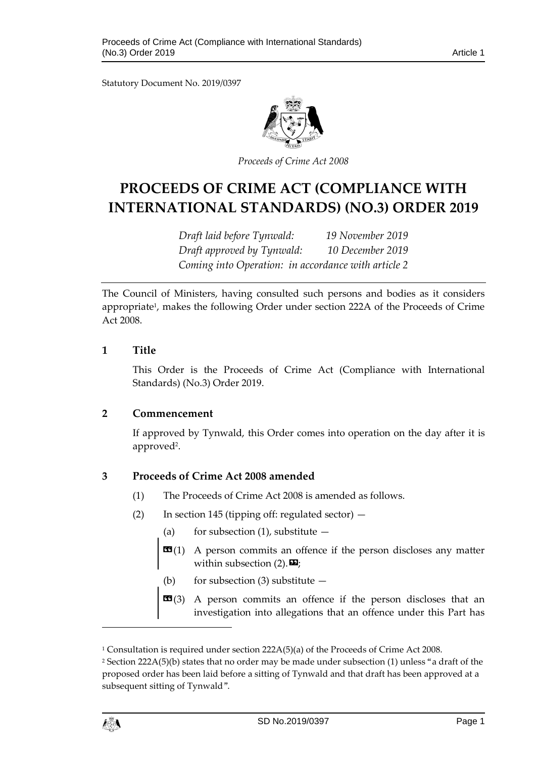

*Proceeds of Crime Act 2008*

# **PROCEEDS OF CRIME ACT (COMPLIANCE WITH INTERNATIONAL STANDARDS) (NO.3) ORDER 2019**

*Draft laid before Tynwald: 19 November 2019 Draft approved by Tynwald: 10 December 2019 Coming into Operation: in accordance with article 2*

The Council of Ministers, having consulted such persons and bodies as it considers appropriate<sup>1</sup>, makes the following Order under section 222A of the Proceeds of Crime Act 2008.

#### **1 Title**

This Order is the Proceeds of Crime Act (Compliance with International Standards) (No.3) Order 2019.

#### **2 Commencement**

If approved by Tynwald, this Order comes into operation on the day after it is approved<sup>2</sup>.

### **3 Proceeds of Crime Act 2008 amended**

- (1) The Proceeds of Crime Act 2008 is amended as follows.
- (2) In section 145 (tipping off: regulated sector)
	- (a) for subsection (1), substitute  $-$
	- **A person commits an offence if the person discloses any matter** within subsection  $(2)$ .  $\mathbf{\mathbf{\Sigma}}$ ;
	- (b) for subsection  $(3)$  substitute  $-$
	- **EG**(3) A person commits an offence if the person discloses that an investigation into allegations that an offence under this Part has

 $\overline{a}$ 

<sup>1</sup> Consultation is required under section 222A(5)(a) of the Proceeds of Crime Act 2008.

<sup>&</sup>lt;sup>2</sup> Section 222A(5)(b) states that no order may be made under subsection (1) unless "a draft of the proposed order has been laid before a sitting of Tynwald and that draft has been approved at a subsequent sitting of Tynwald".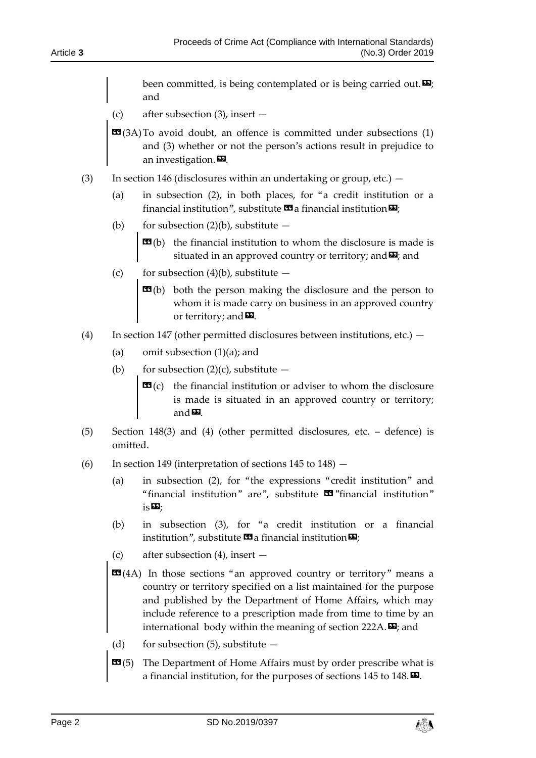been committed, is being contemplated or is being carried out. $\mathbf{E}$ ; and

- (c) after subsection (3), insert —
- $\mathbf{G}(3A)$  To avoid doubt, an offence is committed under subsections (1) and (3) whether or not the person's actions result in prejudice to an investigation. $\boldsymbol{\Sigma}$ .
- (3) In section 146 (disclosures within an undertaking or group, etc.)  $-$ 
	- (a) in subsection (2), in both places, for "a credit institution or a financial institution", substitute  $\mathbf{G}$  a financial institution  $\mathbf{D}$ ;
	- (b) for subsection  $(2)(b)$ , substitute  $$ 
		- **the financial institution to whom the disclosure is made is** situated in an approved country or territory; and  $\Sigma$ ; and
	- (c) for subsection  $(4)(b)$ , substitute
		- $\mathbf{G}(b)$  both the person making the disclosure and the person to whom it is made carry on business in an approved country or territory; and  $\mathbf{E}$ .
- (4) In section 147 (other permitted disclosures between institutions, etc.)  $-$ 
	- (a) omit subsection (1)(a); and
	- (b) for subsection  $(2)(c)$ , substitute
		- **the financial institution or adviser to whom the disclosure** is made is situated in an approved country or territory; and<sup>D</sup>.
- (5) Section 148(3) and (4) (other permitted disclosures, etc. defence) is omitted.
- (6) In section 149 (interpretation of sections  $145$  to  $148$ )  $-$ 
	- (a) in subsection (2), for "the expressions "credit institution" and "financial institution" are", substitute  $\mathbf{\mathfrak{S}}$ "financial institution"  $is \mathbf{E}$ ;
	- (b) in subsection (3), for "a credit institution or a financial institution", substitute  $\mathbf{G}$  a financial institution  $\mathbf{E}$ ;
	- (c) after subsection (4), insert —
	- **EE**(4A) In those sections "an approved country or territory" means a country or territory specified on a list maintained for the purpose and published by the Department of Home Affairs, which may include reference to a prescription made from time to time by an international body within the meaning of section 222A. $\mathbf{D}$ ; and
	- (d) for subsection  $(5)$ , substitute  $-$
	- **EG**(5) The Department of Home Affairs must by order prescribe what is a financial institution, for the purposes of sections 145 to 148. $\boldsymbol{\mathsf{D}}$ .

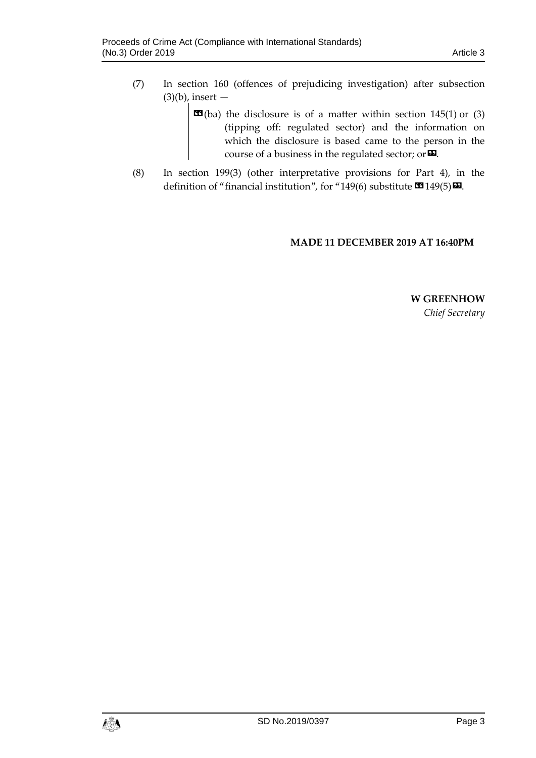- (7) In section 160 (offences of prejudicing investigation) after subsection  $(3)(b)$ , insert —
	- $\mathbf{C}$ (ba) the disclosure is of a matter within [section 145\(1\)](https://login.westlaw.co.uk/maf/wluk/app/document?src=doc&linktype=ref&context=9&crumb-action=replace&docguid=IEA4E2FC0AE0E11DC99CAFCC8A4031010) or [\(3\)](https://login.westlaw.co.uk/maf/wluk/app/document?src=doc&linktype=ref&context=9&crumb-action=replace&docguid=IEA4E2FC0AE0E11DC99CAFCC8A4031010) (tipping off: regulated sector) and the information on which the disclosure is based came to the person in the course of a business in the regulated sector; or  $\boldsymbol{\Sigma}$ .
- (8) In section 199(3) (other interpretative provisions for Part 4), in the definition of "financial institution", for "149(6) substitute  $\mathbf{\Omega}$  149(5) $\mathbf{\Omega}$ .

#### **MADE 11 DECEMBER 2019 AT 16:40PM**

**W GREENHOW** *Chief Secretary*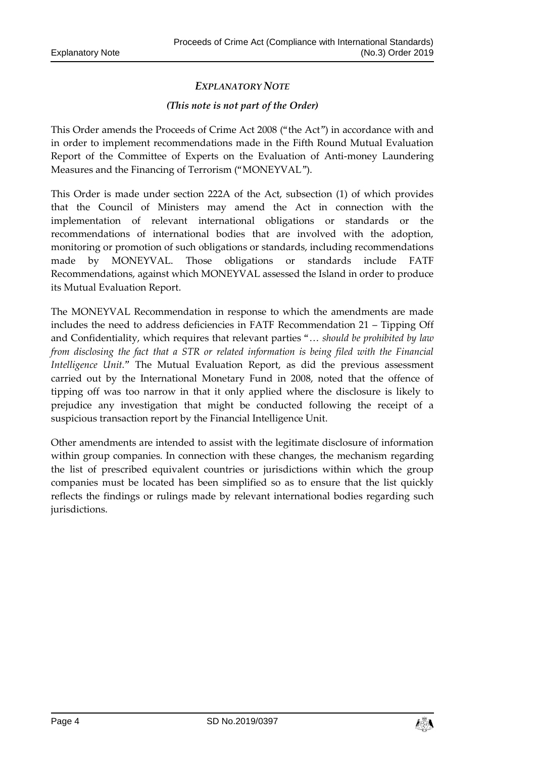#### *(This note is not part of the Order)*

This Order amends the Proceeds of Crime Act 2008 ("the Act") in accordance with and in order to implement recommendations made in the Fifth Round Mutual Evaluation Report of the Committee of Experts on the Evaluation of Anti-money Laundering Measures and the Financing of Terrorism ("MONEYVAL").

This Order is made under section 222A of the Act, subsection (1) of which provides that the Council of Ministers may amend the Act in connection with the implementation of relevant international obligations or standards or the recommendations of international bodies that are involved with the adoption, monitoring or promotion of such obligations or standards, including recommendations made by MONEYVAL. Those obligations or standards include FATF Recommendations, against which MONEYVAL assessed the Island in order to produce its Mutual Evaluation Report.

The MONEYVAL Recommendation in response to which the amendments are made includes the need to address deficiencies in FATF Recommendation 21 – Tipping Off and Confidentiality, which requires that relevant parties "… *should be prohibited by law from disclosing the fact that a STR or related information is being filed with the Financial Intelligence Unit."* The Mutual Evaluation Report, as did the previous assessment carried out by the International Monetary Fund in 2008, noted that the offence of tipping off was too narrow in that it only applied where the disclosure is likely to prejudice any investigation that might be conducted following the receipt of a suspicious transaction report by the Financial Intelligence Unit.

Other amendments are intended to assist with the legitimate disclosure of information within group companies. In connection with these changes, the mechanism regarding the list of prescribed equivalent countries or jurisdictions within which the group companies must be located has been simplified so as to ensure that the list quickly reflects the findings or rulings made by relevant international bodies regarding such jurisdictions.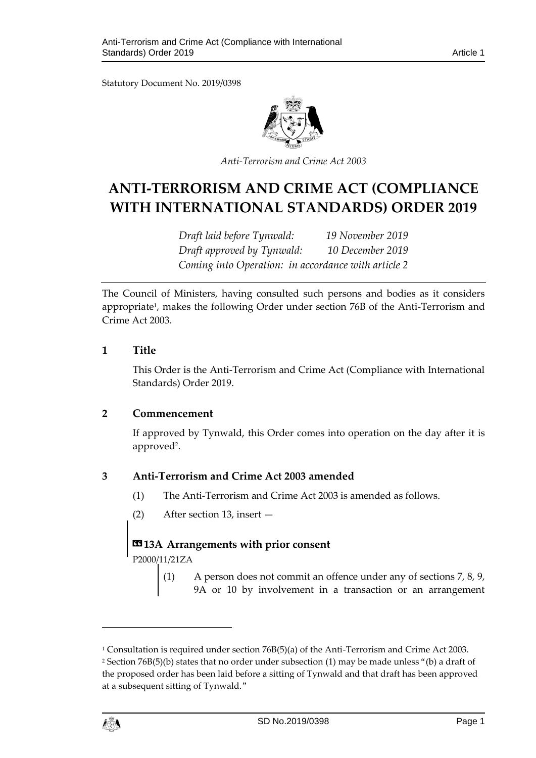

*Anti-Terrorism and Crime Act 2003*

# **ANTI-TERRORISM AND CRIME ACT (COMPLIANCE WITH INTERNATIONAL STANDARDS) ORDER 2019**

*Draft laid before Tynwald: 19 November 2019 Draft approved by Tynwald: 10 December 2019 Coming into Operation: in accordance with article 2*

The Council of Ministers, having consulted such persons and bodies as it considers appropriate<sup>1</sup>, makes the following Order under section 76B of the Anti-Terrorism and Crime Act 2003.

#### **1 Title**

This Order is the Anti-Terrorism and Crime Act (Compliance with International Standards) Order 2019.

#### **2 Commencement**

If approved by Tynwald, this Order comes into operation on the day after it is approved<sup>2</sup>.

### **3 Anti-Terrorism and Crime Act 2003 amended**

- (1) The Anti-Terrorism and Crime Act 2003 is amended as follows.
- (2) After section 13, insert —

### **«13A Arrangements with prior consent**

P2000/11/21ZA

(1) A person does not commit an offence under any of [sections 7, 8, 9,](https://login.westlaw.co.uk/maf/wluk/app/document?src=doc&linktype=ref&context=33&crumb-action=replace&docguid=ID28B92D0E45011DA8D70A0E70A78ED65)  [9A or 10](https://login.westlaw.co.uk/maf/wluk/app/document?src=doc&linktype=ref&context=33&crumb-action=replace&docguid=ID28B92D0E45011DA8D70A0E70A78ED65) by involvement in a transaction or an arrangement

<sup>1</sup> Consultation is required under section 76B(5)(a) of the Anti-Terrorism and Crime Act 2003. <sup>2</sup> Section 76B(5)(b) states that no order under subsection (1) may be made unless "(b) a draft of the proposed order has been laid before a sitting of Tynwald and that draft has been approved at a subsequent sitting of Tynwald."



 $\overline{a}$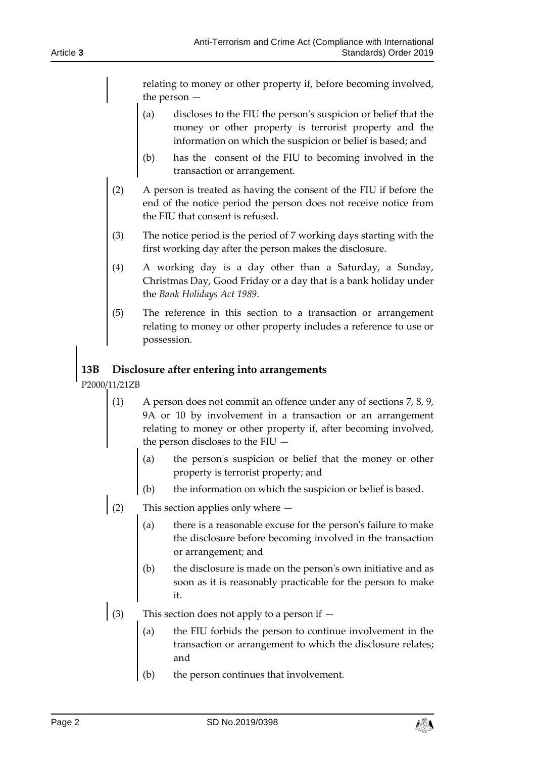relating to money or other property if, before becoming involved, the person —

- (a) discloses to the FIU the person's suspicion or belief that the money or other property is terrorist property and the information on which the suspicion or belief is based; and
- (b) has the consent of the FIU to becoming involved in the transaction or arrangement.
- (2) A person is treated as having the consent of the FIU if before the end of the notice period the person does not receive notice from the FIU that consent is refused.
- (3) The notice period is the period of 7 working days starting with the first working day after the person makes the disclosure.
- (4) A working day is a day other than a Saturday, a Sunday, Christmas Day, Good Friday or a day that is a bank holiday under the *Bank [Holidays Act 1989](https://login.westlaw.co.uk/maf/wluk/app/document?src=doc&linktype=ref&context=33&crumb-action=replace&docguid=I605FF2A1E42311DAA7CF8F68F6EE57AB)*.
- (5) The reference in this section to a transaction or arrangement relating to money or other property includes a reference to use or possession.

# **13B Disclosure after entering into arrangements**

P2000/11/21ZB

- (1) A person does not commit an offence under any of [sections 7, 8, 9,](https://login.westlaw.co.uk/maf/wluk/app/document?src=doc&linktype=ref&context=35&crumb-action=replace&docguid=ID28B92D0E45011DA8D70A0E70A78ED65)  [9A or 10](https://login.westlaw.co.uk/maf/wluk/app/document?src=doc&linktype=ref&context=35&crumb-action=replace&docguid=ID28B92D0E45011DA8D70A0E70A78ED65) by involvement in a transaction or an arrangement relating to money or other property if, after becoming involved, the person discloses to the FIU —
	- (a) the person's suspicion or belief that the money or other property is terrorist property; and
	- (b) the information on which the suspicion or belief is based.
- (2) This section applies only where
	- (a) there is a reasonable excuse for the person's failure to make the disclosure before becoming involved in the transaction or arrangement; and
	- (b) the disclosure is made on the person's own initiative and as soon as it is reasonably practicable for the person to make it.
- (3) This section does not apply to a person if
	- the FIU forbids the person to continue involvement in the transaction or arrangement to which the disclosure relates; and
	- (b) the person continues that involvement.

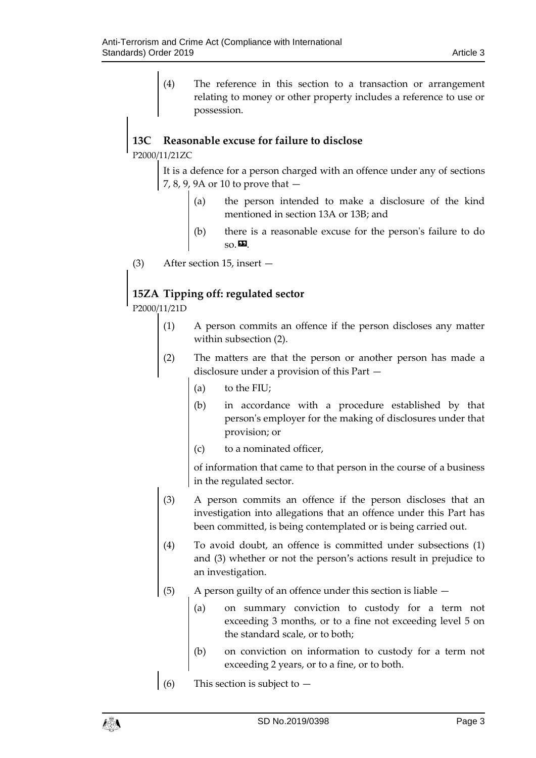(4) The reference in this section to a transaction or arrangement relating to money or other property includes a reference to use or possession.

# **13C Reasonable excuse for failure to disclose**

P2000/11/21ZC

It is a defence for a person charged with an offence under any of [sections](https://login.westlaw.co.uk/maf/wluk/app/document?src=doc&linktype=ref&context=37&crumb-action=replace&docguid=ID28B92D0E45011DA8D70A0E70A78ED65)  [7, 8, 9, 9A or 10](https://login.westlaw.co.uk/maf/wluk/app/document?src=doc&linktype=ref&context=37&crumb-action=replace&docguid=ID28B92D0E45011DA8D70A0E70A78ED65) to prove that —

- (a) the person intended to make a disclosure of the kind mentioned in [section 13A or 13B;](https://login.westlaw.co.uk/maf/wluk/app/document?src=doc&linktype=ref&context=37&crumb-action=replace&docguid=IE9E8B730AE0E11DC99CAFCC8A4031010) and
- (b) there is a reasonable excuse for the person's failure to do  $so. \blacksquare$
- (3) After section 15, insert —

# **15ZA Tipping off: regulated sector**

P2000/11/21D

- (1) A person commits an offence if the person discloses any matter within subsection (2).
- (2) The matters are that the person or another person has made a disclosure under a provision of this Part —
	- (a) to the FIU;
	- (b) in accordance with a procedure established by that person's employer for the making of disclosures under that provision; or
	- (c) to a nominated officer,

of information that came to that person in the course of a business in the regulated sector.

- (3) A person commits an offence if the person discloses that an investigation into allegations that an offence under this Part has been committed, is being contemplated or is being carried out.
- (4) To avoid doubt, an offence is committed under subsections (1) and (3) whether or not the person's actions result in prejudice to an investigation.
- (5) A person guilty of an offence under this section is liable
	- (a) on summary conviction to custody for a term not exceeding 3 months, or to a fine not exceeding level 5 on the standard scale, or to both;
	- (b) on conviction on information to custody for a term not exceeding 2 years, or to a fine, or to both.
- (6) This section is subject to  $-$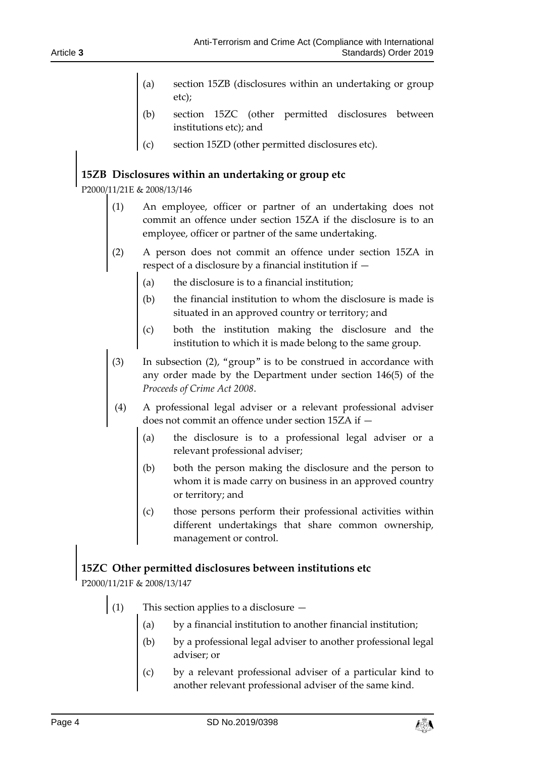- [section 15ZB](https://login.westlaw.co.uk/maf/wluk/app/document?src=doc&linktype=ref&context=58&crumb-action=replace&docguid=IB802CC10B9C111DCA60F9428D776E228) (disclosures within an undertaking or group etc);
- [section 15ZC](https://login.westlaw.co.uk/maf/wluk/app/document?src=doc&linktype=ref&context=58&crumb-action=replace&docguid=IB8051600B9C111DCA60F9428D776E228) (other permitted disclosures between institutions etc); and
- (c) [section 15ZD](https://login.westlaw.co.uk/maf/wluk/app/document?src=doc&linktype=ref&context=58&crumb-action=replace&docguid=IB8056420B9C111DCA60F9428D776E228) (other permitted disclosures etc).

## **15ZB Disclosures within an undertaking or group etc**

P2000/11/21E & 2008/13/146

- (1) An employee, officer or partner of an undertaking does not commit an offence under [section 15ZA](https://login.westlaw.co.uk/maf/wluk/app/document?src=doc&linktype=ref&context=60&crumb-action=replace&docguid=IB8000CF0B9C111DCA60F9428D776E228) if the disclosure is to an employee, officer or partner of the same undertaking.
- (2) A person does not commit an offence under section 15ZA in respect of a disclosure by a financial institution if —
	- (a) the disclosure is to a financial institution;
	- (b) the financial institution to whom the disclosure is made is situated in an approved country or territory; and
	- (c) both the institution making the disclosure and the institution to which it is made belong to the same group.
- (3) In subsection (2), "group" is to be construed in accordance with any order made by the Department under section 146(5) of the *Proceeds of Crime Act 2008*.
- (4) A professional legal adviser or a relevant professional adviser does not commit an offence under section 15ZA if —
	- (a) the disclosure is to a professional legal adviser or a relevant professional adviser;
	- (b) both the person making the disclosure and the person to whom it is made carry on business in an approved country or territory; and
	- (c) those persons perform their professional activities within different undertakings that share common ownership, management or control.

# **15ZC Other permitted disclosures between institutions etc**

P2000/11/21F & 2008/13/147

- (1) This section applies to a disclosure  $$ 
	- by a financial institution to another financial institution;
	- by a professional legal adviser to another professional legal adviser; or
	- by a relevant professional adviser of a particular kind to another relevant professional adviser of the same kind.

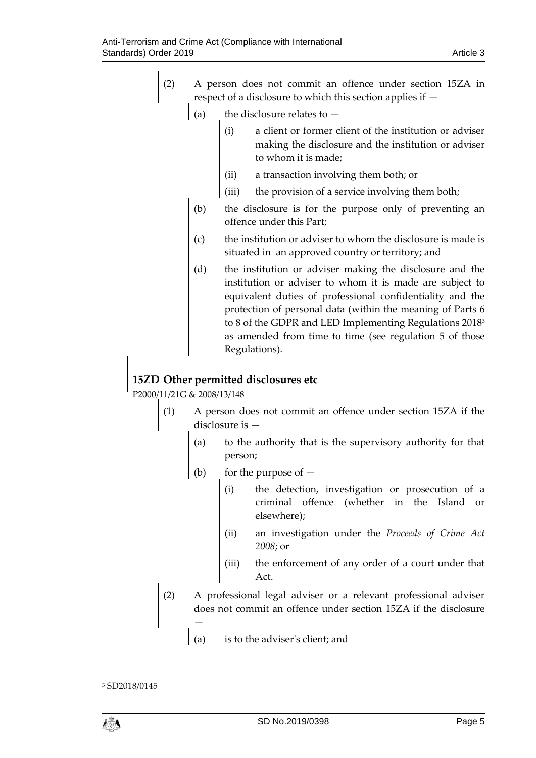- (2) A person does not commit an offence under [section 15ZA](https://login.westlaw.co.uk/maf/wluk/app/document?src=doc&linktype=ref&context=62&crumb-action=replace&docguid=IB8000CF0B9C111DCA60F9428D776E228) in respect of a disclosure to which this section applies if —
	- (a) the disclosure relates to  $$ 
		- a client or former client of the institution or adviser making the disclosure and the institution or adviser to whom it is made;
		- (ii) a transaction involving them both; or
		- (iii) the provision of a service involving them both;
	- (b) the disclosure is for the purpose only of preventing an offence under this Part;
	- (c) the institution or adviser to whom the disclosure is made is situated in an approved country or territory; and
	- (d) the institution or adviser making the disclosure and the institution or adviser to whom it is made are subject to equivalent duties of professional confidentiality and the protection of personal data (within the meaning of Parts 6 to 8 of the GDPR and LED Implementing Regulations 2018<sup>3</sup> as amended from time to time (see regulation 5 of those Regulations).

# **15ZD Other permitted disclosures etc**

P2000/11/21G & 2008/13/148

- (1) A person does not commit an offence under [section 15ZA](https://login.westlaw.co.uk/maf/wluk/app/document?src=doc&linktype=ref&context=64&crumb-action=replace&docguid=IB8000CF0B9C111DCA60F9428D776E228) if the disclosure is —
	- (a) to the authority that is the supervisory authority for that person;
	- (b) for the purpose of  $-$ 
		- (i) the detection, investigation or prosecution of a criminal offence (whether in the Island or elsewhere);
		- (ii) an investigation under the *[Proceeds of Crime Act](https://login.westlaw.co.uk/maf/wluk/app/document?src=doc&linktype=ref&context=64&crumb-action=replace&docguid=I5FA30B41E42311DAA7CF8F68F6EE57AB)  [2008](https://login.westlaw.co.uk/maf/wluk/app/document?src=doc&linktype=ref&context=64&crumb-action=replace&docguid=I5FA30B41E42311DAA7CF8F68F6EE57AB)*; or
		- (iii) the enforcement of any order of a court under that Act.
- (2) A professional legal adviser or a relevant professional adviser does not commit an offence under section 15ZA if the disclosure —
	- (a) is to the adviser's client; and

 $\overline{\phantom{a}}$ 

<sup>3</sup> SD2018/0145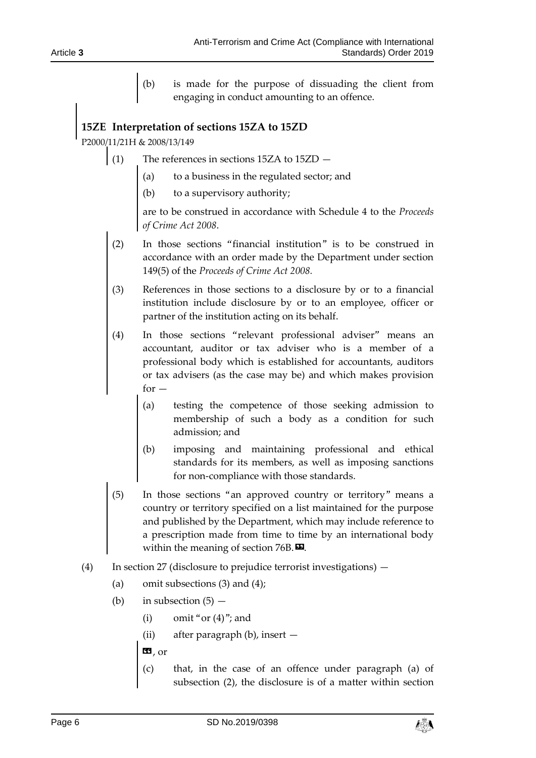(b) is made for the purpose of dissuading the client from engaging in conduct amounting to an offence.

# **15ZE Interpretation of sections 15ZA to 15ZD**

P2000/11/21H & 2008/13/149

- (1) The references in [sections 15ZA](https://login.westlaw.co.uk/maf/wluk/app/document?src=doc&linktype=ref&context=66&crumb-action=replace&docguid=IB8000CF0B9C111DCA60F9428D776E228) to 15ZD
	- (a) to a business in the regulated sector; and
	- (b) to a supervisory authority;

are to be construed in accordance with [Schedule 4 to the](https://login.westlaw.co.uk/maf/wluk/app/document?src=doc&linktype=ref&context=66&crumb-action=replace&docguid=ID2F48DD0E45011DA8D70A0E70A78ED65) *Proceeds [of Crime Act 2008](https://login.westlaw.co.uk/maf/wluk/app/document?src=doc&linktype=ref&context=66&crumb-action=replace&docguid=ID2F48DD0E45011DA8D70A0E70A78ED65)*.

- (2) In those sections *"*financial institution" is to be construed in accordance with an order made by the Department under section 149(5) of the *Proceeds of Crime Act 2008.*
- (3) References in those sections to a disclosure by or to a financial institution include disclosure by or to an employee, officer or partner of the institution acting on its behalf.
- (4) In those sections *"*relevant professional adviser*"* means an accountant, auditor or tax adviser who is a member of a professional body which is established for accountants, auditors or tax advisers (as the case may be) and which makes provision  $for -$ 
	- (a) testing the competence of those seeking admission to membership of such a body as a condition for such admission; and
	- (b) imposing and maintaining professional and ethical standards for its members, as well as imposing sanctions for non-compliance with those standards.
- (5) In those sections "an approved country or territory" means a country or territory specified on a list maintained for the purpose and published by the Department, which may include reference to a prescription made from time to time by an international body within the meaning of section  $76B$ .
- (4) In section 27 (disclosure to prejudice terrorist investigations)
	- (a) omit subsections (3) and (4);
	- (b) in subsection  $(5)$ 
		- (i) omit "or  $(4)$ "; and
		- (ii) after paragraph (b), insert —
		- $\mathbf{G}$ , or
		- (c) that, in the case of an offence under paragraph (a) of subsection (2), the disclosure is of a matter within [section](https://login.westlaw.co.uk/maf/wluk/app/document?src=doc&linktype=ref&context=9&crumb-action=replace&docguid=IEA4E2FC0AE0E11DC99CAFCC8A4031010)

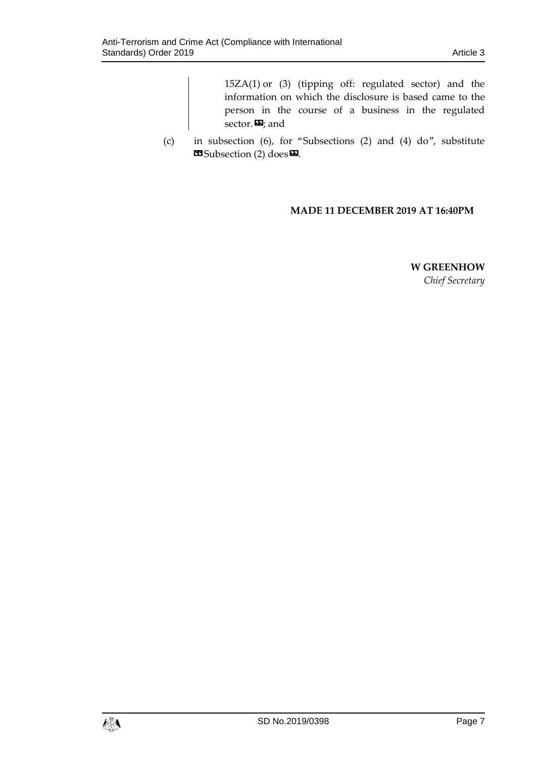[15ZA\(1\)](https://login.westlaw.co.uk/maf/wluk/app/document?src=doc&linktype=ref&context=9&crumb-action=replace&docguid=IEA4E2FC0AE0E11DC99CAFCC8A4031010) or [\(3\)](https://login.westlaw.co.uk/maf/wluk/app/document?src=doc&linktype=ref&context=9&crumb-action=replace&docguid=IEA4E2FC0AE0E11DC99CAFCC8A4031010) (tipping off: regulated sector) and the information on which the disclosure is based came to the person in the course of a business in the regulated sector.<sup>29</sup>; and

(c) in subsection (6), for "Subsections (2) and (4) do", substitute  $\bullet$  Subsection (2) does $\bullet$ .

#### **MADE 11 DECEMBER 2019 AT 16:40PM**

**W GREENHOW**

*Chief Secretary*